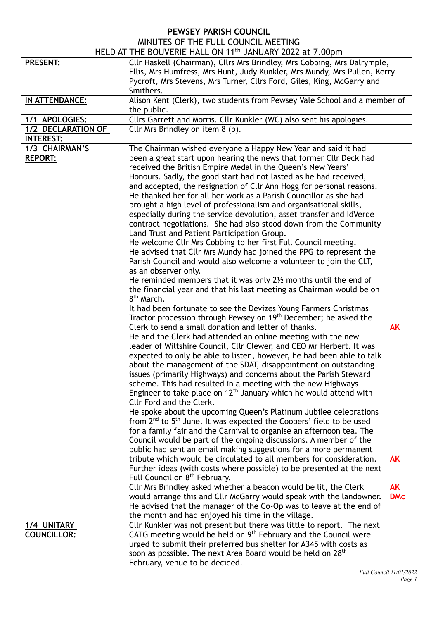## **PEWSEY PARISH COUNCIL**

| MINUTES OF THE FULL COUNCIL MEETING          |  |  |  |
|----------------------------------------------|--|--|--|
| AT THE ROUVEDIE HALL ON 11th TANITADY 2022 - |  |  |  |

|                                   | HELD AT THE BOUVERIE HALL ON 11 <sup>th</sup> JANUARY 2022 at 7.00pm                                                                                                                                                                                                                                                                                                                                                                                                                                                                                                                                                                                                                                                                                                                                                                                                                                                                                                                                                                                                                                                                                                                                                                                                                                                                                                                                                                                                                                                                                                                                                                                                                                                                                                                                                                                                                                                                                                                                                                                                                                                                                                                                                                                                                                                                                                                       |                         |
|-----------------------------------|--------------------------------------------------------------------------------------------------------------------------------------------------------------------------------------------------------------------------------------------------------------------------------------------------------------------------------------------------------------------------------------------------------------------------------------------------------------------------------------------------------------------------------------------------------------------------------------------------------------------------------------------------------------------------------------------------------------------------------------------------------------------------------------------------------------------------------------------------------------------------------------------------------------------------------------------------------------------------------------------------------------------------------------------------------------------------------------------------------------------------------------------------------------------------------------------------------------------------------------------------------------------------------------------------------------------------------------------------------------------------------------------------------------------------------------------------------------------------------------------------------------------------------------------------------------------------------------------------------------------------------------------------------------------------------------------------------------------------------------------------------------------------------------------------------------------------------------------------------------------------------------------------------------------------------------------------------------------------------------------------------------------------------------------------------------------------------------------------------------------------------------------------------------------------------------------------------------------------------------------------------------------------------------------------------------------------------------------------------------------------------------------|-------------------------|
| <b>PRESENT:</b>                   | Cllr Haskell (Chairman), Cllrs Mrs Brindley, Mrs Cobbing, Mrs Dalrymple,<br>Ellis, Mrs Humfress, Mrs Hunt, Judy Kunkler, Mrs Mundy, Mrs Pullen, Kerry<br>Pycroft, Mrs Stevens, Mrs Turner, Cllrs Ford, Giles, King, McGarry and<br>Smithers.                                                                                                                                                                                                                                                                                                                                                                                                                                                                                                                                                                                                                                                                                                                                                                                                                                                                                                                                                                                                                                                                                                                                                                                                                                                                                                                                                                                                                                                                                                                                                                                                                                                                                                                                                                                                                                                                                                                                                                                                                                                                                                                                               |                         |
| IN ATTENDANCE:                    | Alison Kent (Clerk), two students from Pewsey Vale School and a member of<br>the public.                                                                                                                                                                                                                                                                                                                                                                                                                                                                                                                                                                                                                                                                                                                                                                                                                                                                                                                                                                                                                                                                                                                                                                                                                                                                                                                                                                                                                                                                                                                                                                                                                                                                                                                                                                                                                                                                                                                                                                                                                                                                                                                                                                                                                                                                                                   |                         |
| 1/1 APOLOGIES:                    | Cllrs Garrett and Morris. Cllr Kunkler (WC) also sent his apologies.                                                                                                                                                                                                                                                                                                                                                                                                                                                                                                                                                                                                                                                                                                                                                                                                                                                                                                                                                                                                                                                                                                                                                                                                                                                                                                                                                                                                                                                                                                                                                                                                                                                                                                                                                                                                                                                                                                                                                                                                                                                                                                                                                                                                                                                                                                                       |                         |
| 1/2 DECLARATION OF                | Cllr Mrs Brindley on item 8 (b).                                                                                                                                                                                                                                                                                                                                                                                                                                                                                                                                                                                                                                                                                                                                                                                                                                                                                                                                                                                                                                                                                                                                                                                                                                                                                                                                                                                                                                                                                                                                                                                                                                                                                                                                                                                                                                                                                                                                                                                                                                                                                                                                                                                                                                                                                                                                                           |                         |
| <b>INTEREST:</b>                  |                                                                                                                                                                                                                                                                                                                                                                                                                                                                                                                                                                                                                                                                                                                                                                                                                                                                                                                                                                                                                                                                                                                                                                                                                                                                                                                                                                                                                                                                                                                                                                                                                                                                                                                                                                                                                                                                                                                                                                                                                                                                                                                                                                                                                                                                                                                                                                                            |                         |
| 1/3 CHAIRMAN'S<br><b>REPORT:</b>  | The Chairman wished everyone a Happy New Year and said it had<br>been a great start upon hearing the news that former Cllr Deck had<br>received the British Empire Medal in the Queen's New Years'<br>Honours. Sadly, the good start had not lasted as he had received,<br>and accepted, the resignation of Cllr Ann Hogg for personal reasons.<br>He thanked her for all her work as a Parish Councillor as she had<br>brought a high level of professionalism and organisational skills,<br>especially during the service devolution, asset transfer and IdVerde<br>contract negotiations. She had also stood down from the Community<br>Land Trust and Patient Participation Group.<br>He welcome Cllr Mrs Cobbing to her first Full Council meeting.<br>He advised that Cllr Mrs Mundy had joined the PPG to represent the<br>Parish Council and would also welcome a volunteer to join the CLT,<br>as an observer only.<br>He reminded members that it was only $2\frac{1}{2}$ months until the end of<br>the financial year and that his last meeting as Chairman would be on<br>8 <sup>th</sup> March.<br>It had been fortunate to see the Devizes Young Farmers Christmas<br>Tractor procession through Pewsey on 19 <sup>th</sup> December; he asked the<br>Clerk to send a small donation and letter of thanks.<br>He and the Clerk had attended an online meeting with the new<br>leader of Wiltshire Council, Cllr Clewer, and CEO Mr Herbert. It was<br>expected to only be able to listen, however, he had been able to talk<br>about the management of the SDAT, disappointment on outstanding<br>issues (primarily Highways) and concerns about the Parish Steward<br>scheme. This had resulted in a meeting with the new Highways<br>Engineer to take place on $12th$ January which he would attend with<br>Cllr Ford and the Clerk.<br>He spoke about the upcoming Queen's Platinum Jubilee celebrations<br>from 2 <sup>nd</sup> to 5 <sup>th</sup> June. It was expected the Coopers' field to be used<br>for a family fair and the Carnival to organise an afternoon tea. The<br>Council would be part of the ongoing discussions. A member of the<br>public had sent an email making suggestions for a more permanent<br>tribute which would be circulated to all members for consideration.<br>Further ideas (with costs where possible) to be presented at the next | <b>AK</b><br>AK         |
|                                   | Full Council on 8 <sup>th</sup> February.<br>Cllr Mrs Brindley asked whether a beacon would be lit, the Clerk<br>would arrange this and Cllr McGarry would speak with the landowner.<br>He advised that the manager of the Co-Op was to leave at the end of<br>the month and had enjoyed his time in the village.                                                                                                                                                                                                                                                                                                                                                                                                                                                                                                                                                                                                                                                                                                                                                                                                                                                                                                                                                                                                                                                                                                                                                                                                                                                                                                                                                                                                                                                                                                                                                                                                                                                                                                                                                                                                                                                                                                                                                                                                                                                                          | <b>AK</b><br><b>DMc</b> |
| 1/4 UNITARY<br><b>COUNCILLOR:</b> | Cllr Kunkler was not present but there was little to report. The next<br>CATG meeting would be held on $9th$ February and the Council were<br>urged to submit their preferred bus shelter for A345 with costs as<br>soon as possible. The next Area Board would be held on 28 <sup>th</sup><br>February, venue to be decided.                                                                                                                                                                                                                                                                                                                                                                                                                                                                                                                                                                                                                                                                                                                                                                                                                                                                                                                                                                                                                                                                                                                                                                                                                                                                                                                                                                                                                                                                                                                                                                                                                                                                                                                                                                                                                                                                                                                                                                                                                                                              |                         |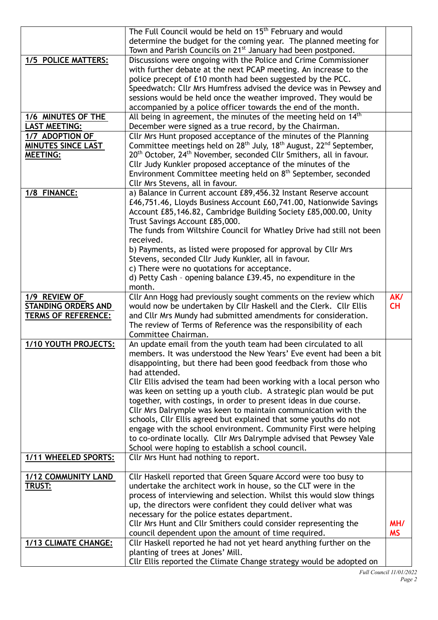|                            | The Full Council would be held on 15 <sup>th</sup> February and would                                                                                      |           |
|----------------------------|------------------------------------------------------------------------------------------------------------------------------------------------------------|-----------|
|                            | determine the budget for the coming year. The planned meeting for                                                                                          |           |
| 1/5 POLICE MATTERS:        | Town and Parish Councils on 21 <sup>st</sup> January had been postponed.<br>Discussions were ongoing with the Police and Crime Commissioner                |           |
|                            | with further debate at the next PCAP meeting. An increase to the                                                                                           |           |
|                            | police precept of £10 month had been suggested by the PCC.                                                                                                 |           |
|                            | Speedwatch: Cllr Mrs Humfress advised the device was in Pewsey and                                                                                         |           |
|                            | sessions would be held once the weather improved. They would be                                                                                            |           |
|                            | accompanied by a police officer towards the end of the month.                                                                                              |           |
| 1/6 MINUTES OF THE         | All being in agreement, the minutes of the meeting held on 14 <sup>th</sup>                                                                                |           |
| <b>LAST MEETING:</b>       | December were signed as a true record, by the Chairman.                                                                                                    |           |
| 1/7 ADOPTION OF            | Cllr Mrs Hunt proposed acceptance of the minutes of the Planning                                                                                           |           |
| <b>MINUTES SINCE LAST</b>  | Committee meetings held on $28th$ July, 18 <sup>th</sup> August, 22 <sup>nd</sup> September,                                                               |           |
| <b>MEETING:</b>            | 20 <sup>th</sup> October, 24 <sup>th</sup> November, seconded Cllr Smithers, all in favour.<br>Cllr Judy Kunkler proposed acceptance of the minutes of the |           |
|                            | Environment Committee meeting held on 8 <sup>th</sup> September, seconded                                                                                  |           |
|                            | Cllr Mrs Stevens, all in favour.                                                                                                                           |           |
| 1/8 FINANCE:               | a) Balance in Current account £89,456.32 Instant Reserve account                                                                                           |           |
|                            | £46,751.46, Lloyds Business Account £60,741.00, Nationwide Savings                                                                                         |           |
|                            | Account £85,146.82, Cambridge Building Society £85,000.00, Unity                                                                                           |           |
|                            | Trust Savings Account £85,000.                                                                                                                             |           |
|                            | The funds from Wiltshire Council for Whatley Drive had still not been<br>received.                                                                         |           |
|                            | b) Payments, as listed were proposed for approval by Cllr Mrs                                                                                              |           |
|                            | Stevens, seconded Cllr Judy Kunkler, all in favour.                                                                                                        |           |
|                            | c) There were no quotations for acceptance.                                                                                                                |           |
|                            | d) Petty Cash - opening balance £39.45, no expenditure in the                                                                                              |           |
|                            | month.                                                                                                                                                     |           |
| 1/9 REVIEW OF              | Cllr Ann Hogg had previously sought comments on the review which                                                                                           | AK/       |
| <b>STANDING ORDERS AND</b> | would now be undertaken by Cllr Haskell and the Clerk. Cllr Ellis                                                                                          | CH        |
| <b>TERMS OF REFERENCE:</b> | and Cllr Mrs Mundy had submitted amendments for consideration.                                                                                             |           |
|                            | The review of Terms of Reference was the responsibility of each<br>Committee Chairman.                                                                     |           |
| 1/10 YOUTH PROJECTS:       | An update email from the youth team had been circulated to all                                                                                             |           |
|                            | members. It was understood the New Years' Eve event had been a bit                                                                                         |           |
|                            | disappointing, but there had been good feedback from those who                                                                                             |           |
|                            | had attended.                                                                                                                                              |           |
|                            | Cllr Ellis advised the team had been working with a local person who                                                                                       |           |
|                            | was keen on setting up a youth club. A strategic plan would be put                                                                                         |           |
|                            | together, with costings, in order to present ideas in due course.                                                                                          |           |
|                            | Cllr Mrs Dalrymple was keen to maintain communication with the<br>schools, Cllr Ellis agreed but explained that some youths do not                         |           |
|                            | engage with the school environment. Community First were helping                                                                                           |           |
|                            | to co-ordinate locally. Cllr Mrs Dalrymple advised that Pewsey Vale                                                                                        |           |
|                            | School were hoping to establish a school council.                                                                                                          |           |
| 1/11 WHEELED SPORTS:       | Cllr Mrs Hunt had nothing to report.                                                                                                                       |           |
| <b>1/12 COMMUNITY LAND</b> | Cllr Haskell reported that Green Square Accord were too busy to                                                                                            |           |
| <b>TRUST:</b>              | undertake the architect work in house, so the CLT were in the                                                                                              |           |
|                            | process of interviewing and selection. Whilst this would slow things                                                                                       |           |
|                            | up, the directors were confident they could deliver what was                                                                                               |           |
|                            | necessary for the police estates department.                                                                                                               |           |
|                            | Cllr Mrs Hunt and Cllr Smithers could consider representing the                                                                                            | MH/       |
|                            | council dependent upon the amount of time required.                                                                                                        | <b>MS</b> |
| 1/13 CLIMATE CHANGE:       | Cllr Haskell reported he had not yet heard anything further on the                                                                                         |           |
|                            | planting of trees at Jones' Mill.                                                                                                                          |           |
|                            | Cllr Ellis reported the Climate Change strategy would be adopted on                                                                                        |           |